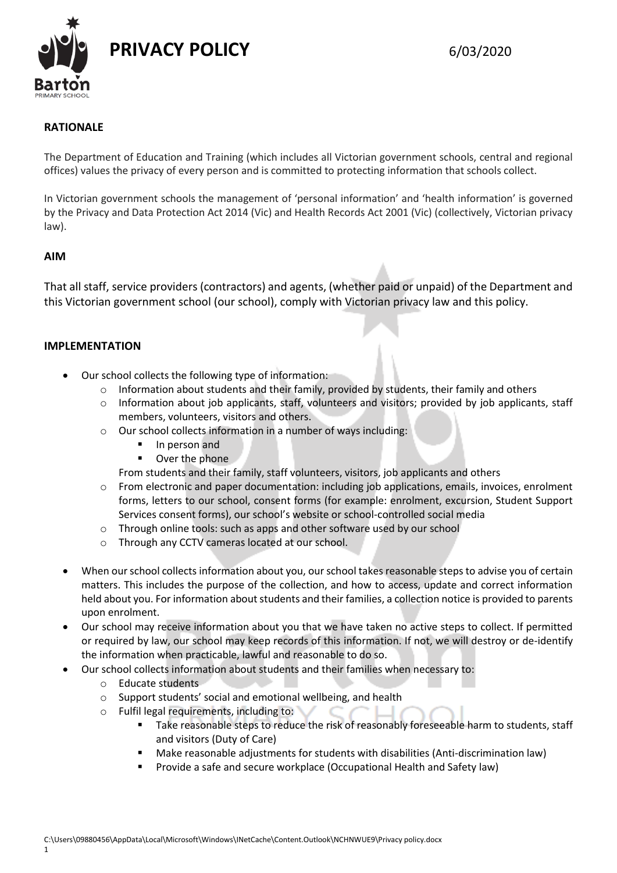

# **RATIONALE**

The Department of Education and Training (which includes all Victorian government schools, central and regional offices) values the privacy of every person and is committed to protecting information that schools collect.

In Victorian government schools the management of 'personal information' and 'health information' is governed by the Privacy and Data Protection Act 2014 (Vic) and Health Records Act 2001 (Vic) (collectively, Victorian privacy law).

# **AIM**

That all staff, service providers (contractors) and agents, (whether paid or unpaid) of the Department and this Victorian government school (our school), comply with Victorian privacy law and this policy.

### **IMPLEMENTATION**

- Our school collects the following type of information:
	- $\circ$  Information about students and their family, provided by students, their family and others
	- $\circ$  Information about job applicants, staff, volunteers and visitors; provided by job applicants, staff members, volunteers, visitors and others.
	- o Our school collects information in a number of ways including:
		- In person and
		- **•** Over the phone
		- From students and their family, staff volunteers, visitors, job applicants and others
	- o From electronic and paper documentation: including job applications, emails, invoices, enrolment forms, letters to our school, consent forms (for example: enrolment, excursion, Student Support Services consent forms), our school's website or school-controlled social media
	- o Through online tools: such as apps and other software used by our school
	- o Through any CCTV cameras located at our school.
- When our school collects information about you, our school takes reasonable steps to advise you of certain matters. This includes the purpose of the collection, and how to access, update and correct information held about you. For information about students and their families, a collection notice is provided to parents upon enrolment.
- Our school may receive information about you that we have taken no active steps to collect. If permitted or required by law, our school may keep records of this information. If not, we will destroy or de-identify the information when practicable, lawful and reasonable to do so.
- Our school collects information about students and their families when necessary to:
	- o Educate students
	- o Support students' social and emotional wellbeing, and health
	- o Fulfil legal requirements, including to:
		- Take reasonable steps to reduce the risk of reasonably foreseeable harm to students, staff and visitors (Duty of Care)
		- Make reasonable adjustments for students with disabilities (Anti-discrimination law)
		- Provide a safe and secure workplace (Occupational Health and Safety law)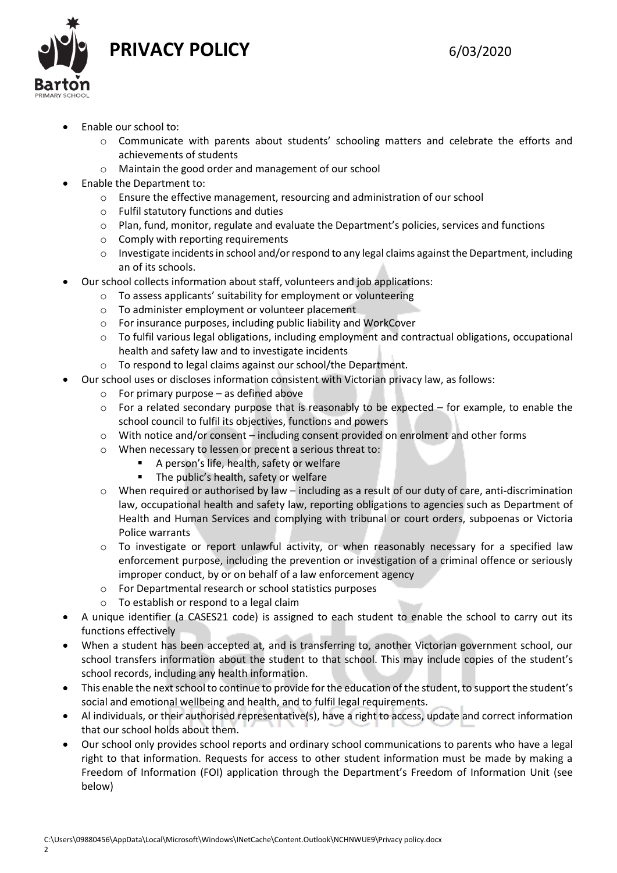**PRIVACY POLICY** 6/03/2020



- Enable our school to:
	- o Communicate with parents about students' schooling matters and celebrate the efforts and achievements of students
	- o Maintain the good order and management of our school
- Enable the Department to:
	- o Ensure the effective management, resourcing and administration of our school
	- o Fulfil statutory functions and duties
	- o Plan, fund, monitor, regulate and evaluate the Department's policies, services and functions
	- o Comply with reporting requirements
	- o Investigate incidents in school and/or respond to any legal claims against the Department, including an of its schools.
- Our school collects information about staff, volunteers and job applications:
	- o To assess applicants' suitability for employment or volunteering
	- o To administer employment or volunteer placement
	- o For insurance purposes, including public liability and WorkCover
	- o To fulfil various legal obligations, including employment and contractual obligations, occupational health and safety law and to investigate incidents
	- o To respond to legal claims against our school/the Department.
	- Our school uses or discloses information consistent with Victorian privacy law, as follows:
		- $\circ$  For primary purpose as defined above
		- $\circ$  For a related secondary purpose that is reasonably to be expected for example, to enable the school council to fulfil its objectives, functions and powers
		- o With notice and/or consent including consent provided on enrolment and other forms
		- o When necessary to lessen or precent a serious threat to:
			- A person's life, health, safety or welfare
			- The public's health, safety or welfare
		- $\circ$  When required or authorised by law including as a result of our duty of care, anti-discrimination law, occupational health and safety law, reporting obligations to agencies such as Department of Health and Human Services and complying with tribunal or court orders, subpoenas or Victoria Police warrants
		- o To investigate or report unlawful activity, or when reasonably necessary for a specified law enforcement purpose, including the prevention or investigation of a criminal offence or seriously improper conduct, by or on behalf of a law enforcement agency
		- o For Departmental research or school statistics purposes
		- o To establish or respond to a legal claim
- A unique identifier (a CASES21 code) is assigned to each student to enable the school to carry out its functions effectively
- When a student has been accepted at, and is transferring to, another Victorian government school, our school transfers information about the student to that school. This may include copies of the student's school records, including any health information.
- This enable the next school to continue to provide for the education of the student, to support the student's social and emotional wellbeing and health, and to fulfil legal requirements.
- Al individuals, or their authorised representative(s), have a right to access, update and correct information that our school holds about them.
- Our school only provides school reports and ordinary school communications to parents who have a legal right to that information. Requests for access to other student information must be made by making a Freedom of Information (FOI) application through the Department's Freedom of Information Unit (see below)

2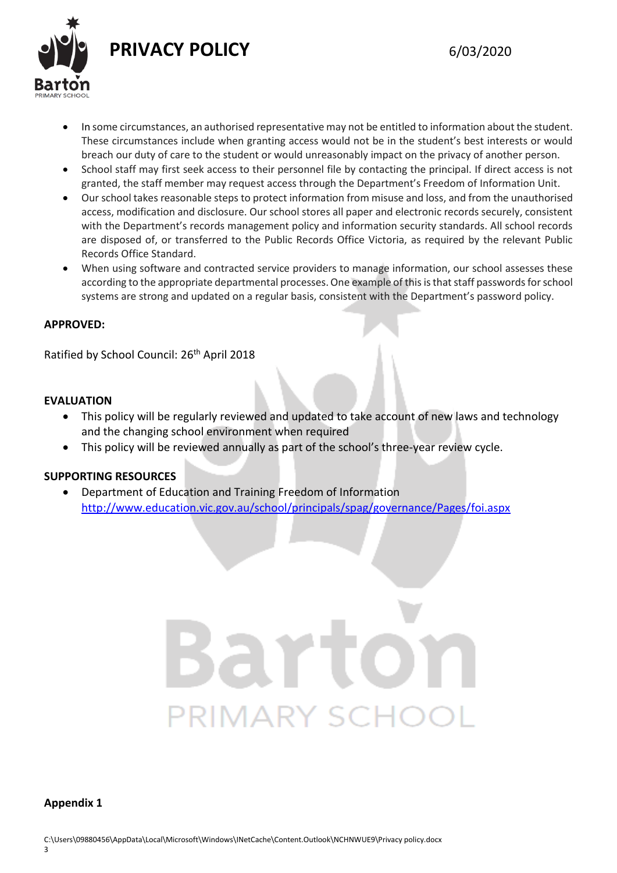

- In some circumstances, an authorised representative may not be entitled to information about the student. These circumstances include when granting access would not be in the student's best interests or would breach our duty of care to the student or would unreasonably impact on the privacy of another person.
- School staff may first seek access to their personnel file by contacting the principal. If direct access is not granted, the staff member may request access through the Department's Freedom of Information Unit.
- Our school takes reasonable steps to protect information from misuse and loss, and from the unauthorised access, modification and disclosure. Our school stores all paper and electronic records securely, consistent with the Department's records management policy and information security standards. All school records are disposed of, or transferred to the Public Records Office Victoria, as required by the relevant Public Records Office Standard.
- When using software and contracted service providers to manage information, our school assesses these according to the appropriate departmental processes. One example of this is that staff passwords for school systems are strong and updated on a regular basis, consistent with the Department's password policy.

# **APPROVED:**

Ratified by School Council: 26<sup>th</sup> April 2018

# **EVALUATION**

- This policy will be regularly reviewed and updated to take account of new laws and technology and the changing school environment when required
- This policy will be reviewed annually as part of the school's three-year review cycle.

## **SUPPORTING RESOURCES**

 Department of Education and Training Freedom of Information <http://www.education.vic.gov.au/school/principals/spag/governance/Pages/foi.aspx>

# PRIMARY SCHC

#### **Appendix 1**